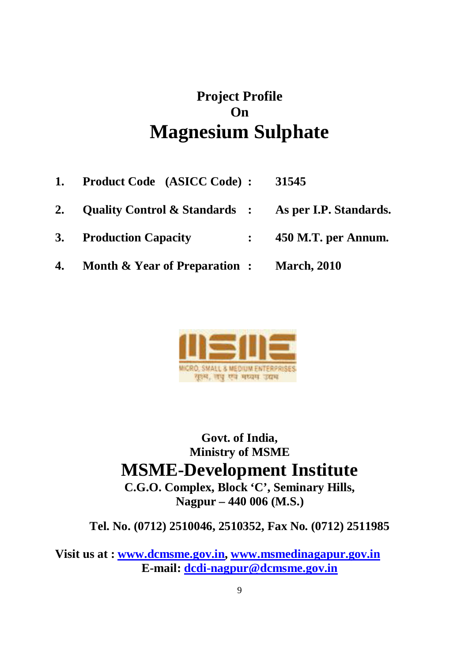# **Project Profile On Magnesium Sulphate**

- **1. Product Code (ASICC Code) : 31545**
- **2. Quality Control & Standards : As per I.P. Standards.**
- **3. Production Capacity : 450 M.T. per Annum.**
- **4. Month & Year of Preparation : March, 2010**



**Govt. of India, Ministry of MSME MSME-Development Institute C.G.O. Complex, Block 'C', Seminary Hills,**

**Nagpur – 440 006 (M.S.)**

**Tel. No. (0712) 2510046, 2510352, Fax No. (0712) 2511985**

**Visit us at : www.dcmsme.gov.in, www.msmedinagapur.gov.in E-mail: dcdi-nagpur@dcmsme.gov.in**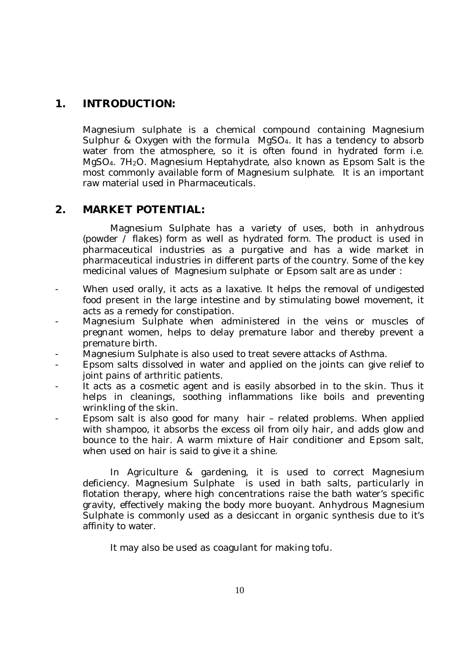## **1. INTRODUCTION:**

Magnesium sulphate is a chemical compound containing Magnesium Sulphur & Oxygen with the formula MgSO4. It has a tendency to absorb water from the atmosphere, so it is often found in hydrated form i.e. MgSO<sub>4</sub>. 7H<sub>2</sub>O. Magnesium Heptahydrate, also known as Epsom Salt is the most commonly available form of Magnesium sulphate. It is an important raw material used in Pharmaceuticals.

### **2. MARKET POTENTIAL:**

Magnesium Sulphate has a variety of uses, both in anhydrous (powder / flakes) form as well as hydrated form. The product is used in pharmaceutical industries as a purgative and has a wide market in pharmaceutical industries in different parts of the country. Some of the key medicinal values of Magnesium sulphate or Epsom salt are as under :

- When used orally, it acts as a laxative. It helps the removal of undigested food present in the large intestine and by stimulating bowel movement, it acts as a remedy for constipation.
- Magnesium Sulphate when administered in the veins or muscles of pregnant women, helps to delay premature labor and thereby prevent a premature birth.
- Magnesium Sulphate is also used to treat severe attacks of Asthma.
- Epsom salts dissolved in water and applied on the joints can give relief to joint pains of arthritic patients.
- It acts as a cosmetic agent and is easily absorbed in to the skin. Thus it helps in cleanings, soothing inflammations like boils and preventing wrinkling of the skin.
- Epsom salt is also good for many hair related problems. When applied with shampoo, it absorbs the excess oil from oily hair, and adds glow and bounce to the hair. A warm mixture of Hair conditioner and Epsom salt, when used on hair is said to give it a shine.

In Agriculture & gardening, it is used to correct Magnesium deficiency. Magnesium Sulphate is used in bath salts, particularly in flotation therapy, where high concentrations raise the bath water's specific gravity, effectively making the body more buoyant. Anhydrous Magnesium Sulphate is commonly used as a desiccant in organic synthesis due to it's affinity to water.

It may also be used as coagulant for making tofu.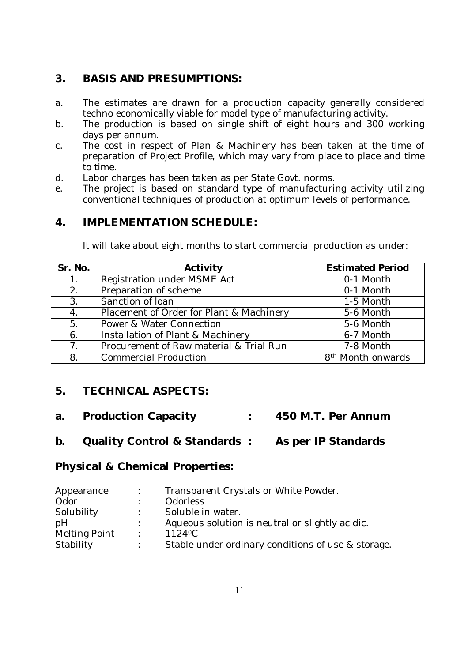## **3. BASIS AND PRESUMPTIONS:**

- a. The estimates are drawn for a production capacity generally considered techno economically viable for model type of manufacturing activity.
- b. The production is based on single shift of eight hours and 300 working days per annum.
- c. The cost in respect of Plan & Machinery has been taken at the time of preparation of Project Profile, which may vary from place to place and time to time.
- d. Labor charges has been taken as per State Govt. norms.
- e. The project is based on standard type of manufacturing activity utilizing conventional techniques of production at optimum levels of performance.

## **4. IMPLEMENTATION SCHEDULE:**

It will take about eight months to start commercial production as under:

| Sr. No.        | Activity                                 | <b>Estimated Period</b>       |
|----------------|------------------------------------------|-------------------------------|
| 1 <sub>1</sub> | Registration under MSME Act              | 0-1 Month                     |
| 2.             | Preparation of scheme                    | 0-1 Month                     |
| 3.             | Sanction of loan                         | 1-5 Month                     |
| 4.             | Placement of Order for Plant & Machinery | 5-6 Month                     |
| 5.             | Power & Water Connection                 | 5-6 Month                     |
| 6.             | Installation of Plant & Machinery        | 6-7 Month                     |
| 7 <sub>1</sub> | Procurement of Raw material & Trial Run  | 7-8 Month                     |
| 8.             | <b>Commercial Production</b>             | 8 <sup>th</sup> Month onwards |

## **5. TECHNICAL ASPECTS:**

- **a. Production Capacity : 450 M.T. Per Annum**
- **b. Quality Control & Standards : As per IP Standards**

### **Physical & Chemical Properties:**

| Appearance    |                | Transparent Crystals or White Powder.              |
|---------------|----------------|----------------------------------------------------|
| Odor          |                | <b>Odorless</b>                                    |
| Solubility    |                | Soluble in water.                                  |
| pH            |                | Aqueous solution is neutral or slightly acidic.    |
| Melting Point | $\sim 10^{-1}$ | 1124 <sup>o</sup> C                                |
| Stability     |                | Stable under ordinary conditions of use & storage. |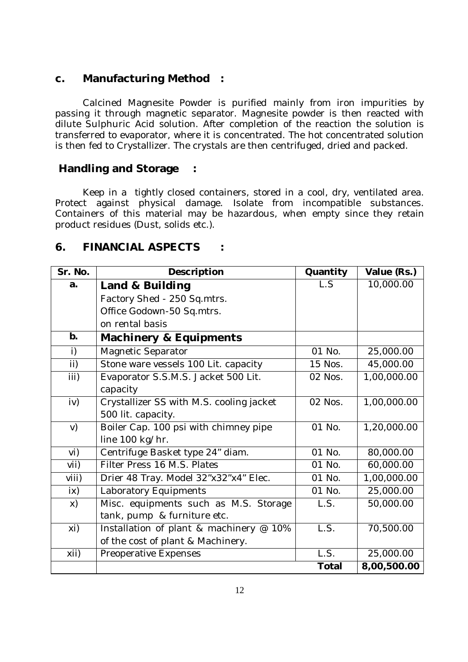### **c. Manufacturing Method :**

Calcined Magnesite Powder is purified mainly from iron impurities by passing it through magnetic separator. Magnesite powder is then reacted with dilute Sulphuric Acid solution. After completion of the reaction the solution is transferred to evaporator, where it is concentrated. The hot concentrated solution is then fed to Crystallizer. The crystals are then centrifuged, dried and packed.

### **Handling and Storage :**

Keep in a tightly closed containers, stored in a cool, dry, ventilated area. Protect against physical damage. Isolate from incompatible substances. Containers of this material may be hazardous, when empty since they retain product residues (Dust, solids etc.).

### **6. FINANCIAL ASPECTS :**

| Sr. No.            | Description                              | Quantity     | Value (Rs.) |
|--------------------|------------------------------------------|--------------|-------------|
| a.                 | Land & Building                          | L.S          | 10,000.00   |
|                    | Factory Shed - 250 Sq.mtrs.              |              |             |
|                    | Office Godown-50 Sq.mtrs.                |              |             |
|                    | on rental basis                          |              |             |
| b.                 | Machinery & Equipments                   |              |             |
| i)                 | Magnetic Separator                       | 01 No.       | 25,000.00   |
| $\mathbf{ii}$      | Stone ware vessels 100 Lit. capacity     | 15 Nos.      | 45,000.00   |
| iii)               | Evaporator S.S.M.S. Jacket 500 Lit.      | 02 Nos.      | 1,00,000.00 |
|                    | capacity                                 |              |             |
| iv)                | Crystallizer SS with M.S. cooling jacket | 02 Nos.      | 1,00,000.00 |
|                    | 500 lit. capacity.                       |              |             |
| V)                 | Boiler Cap. 100 psi with chimney pipe    | 01 No.       | 1,20,000.00 |
|                    | line 100 kg/hr.                          |              |             |
| vi)                | Centrifuge Basket type 24" diam.         | 01 No.       | 80,000.00   |
| V <sub>1</sub>     | Filter Press 16 M.S. Plates              | 01 No.       | 60,000.00   |
| viii)              | Drier 48 Tray. Model 32"x32"x4" Elec.    | 01 No.       | 1,00,000.00 |
| ix)                | Laboratory Equipments                    | 01 No.       | 25,000.00   |
| X)                 | Misc. equipments such as M.S. Storage    | L.S.         | 50,000.00   |
|                    | tank, pump & furniture etc.              |              |             |
| xi)                | Installation of plant & machinery @ 10%  | L.S.         | 70,500.00   |
|                    | of the cost of plant & Machinery.        |              |             |
| $\overline{x}$ ii) | Preoperative Expenses                    | LS.          | 25,000.00   |
|                    |                                          | <b>Total</b> | 8,00,500.00 |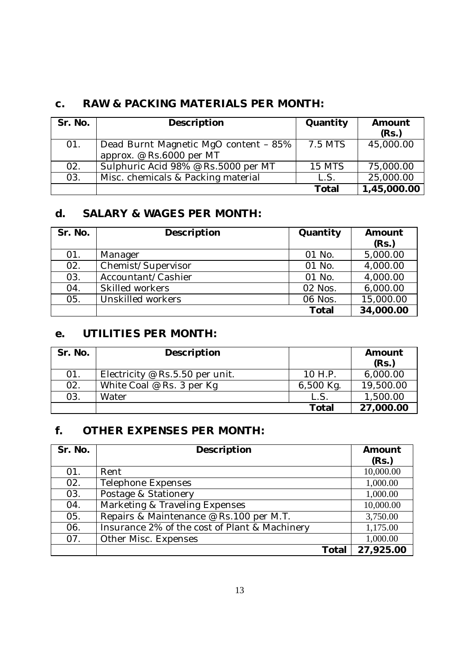### **c. RAW & PACKING MATERIALS PER MONTH:**

| Sr. No. | Description                           | Quantity      | Amount<br>(Rs.) |
|---------|---------------------------------------|---------------|-----------------|
| 01.     | Dead Burnt Magnetic MgO content - 85% | 7.5 MTS       | 45,000.00       |
|         | approx. @ Rs.6000 per MT              |               |                 |
| 02.     | Sulphuric Acid 98% @ Rs.5000 per MT   | <b>15 MTS</b> | 75,000.00       |
| 03.     | Misc. chemicals & Packing material    | L.S.          | 25,000.00       |
|         |                                       | <b>Total</b>  | 1,45,000.00     |

## **d. SALARY & WAGES PER MONTH:**

| Sr. No. | Description        | Quantity     | Amount<br>(Rs.) |
|---------|--------------------|--------------|-----------------|
| 01.     | Manager            | 01 No.       | 5,000.00        |
| 02.     | Chemist/Supervisor | 01 No.       | 4,000.00        |
| 03.     | Accountant/Cashier | 01 No.       | 4,000.00        |
| 04.     | Skilled workers    | 02 Nos.      | 6,000.00        |
| 05.     | Unskilled workers  | 06 Nos.      | 15,000.00       |
|         |                    | <b>Total</b> | 34,000.00       |

## **e. UTILITIES PER MONTH:**

| Sr. No. | Description                       |           | Amount<br>(Rs.) |
|---------|-----------------------------------|-----------|-----------------|
| 01.     | Electricity @ $Rs.5.50$ per unit. | 10 H.P.   | 6,000.00        |
| 02.     | White Coal $@$ Rs. 3 per Kg       | 6,500 Kg. | 19,500.00       |
| 03.     | Water                             | L.S       | 1,500.00        |
|         |                                   | Total     | 27,000.00       |

## **f. OTHER EXPENSES PER MONTH:**

| Sr. No. | Description                                   |       | Amount    |
|---------|-----------------------------------------------|-------|-----------|
|         |                                               |       | (Rs.)     |
| 01.     | Rent                                          |       | 10,000.00 |
| 02.     | Telephone Expenses                            |       | 1,000.00  |
| 03.     | Postage & Stationery                          |       | 1,000.00  |
| 04.     | Marketing & Traveling Expenses                |       | 10,000.00 |
| 05.     | Repairs & Maintenance @ Rs.100 per M.T.       |       | 3,750.00  |
| 06.     | Insurance 2% of the cost of Plant & Machinery |       | 1,175.00  |
| 07.     | Other Misc. Expenses                          |       | 1,000.00  |
|         |                                               | Total | 27,925.00 |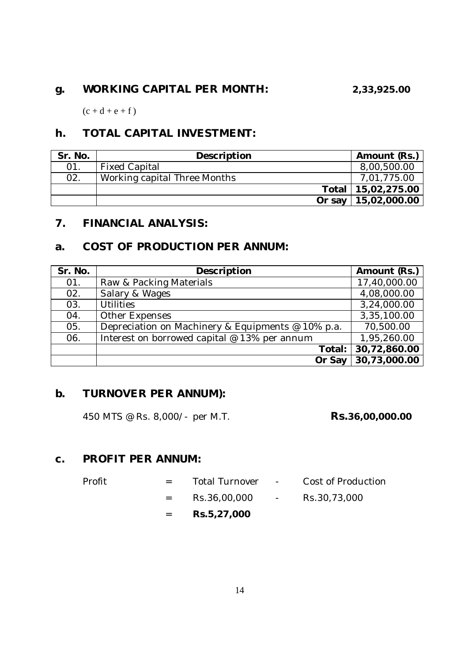## **g. WORKING CAPITAL PER MONTH: 2,33,925.00**

 $(c + d + e + f)$ 

## **h. TOTAL CAPITAL INVESTMENT:**

| Sr. No. | Description                  | Amount (Rs.)          |
|---------|------------------------------|-----------------------|
| 01      | <b>Fixed Capital</b>         | 8,00,500.00           |
| 02.     | Working capital Three Months | 7,01,775.00           |
|         |                              | Total   15,02,275.00  |
|         |                              | Or say   15,02,000.00 |

## **7. FINANCIAL ANALYSIS:**

## **a. COST OF PRODUCTION PER ANNUM:**

| Sr. No. | Description                                       | Amount (Rs.) |
|---------|---------------------------------------------------|--------------|
| 01.     | Raw & Packing Materials                           | 17,40,000.00 |
| 02.     | Salary & Wages                                    | 4,08,000.00  |
| 03.     | <b>Utilities</b>                                  | 3,24,000.00  |
| 04.     | Other Expenses                                    | 3,35,100.00  |
| 05.     | Depreciation on Machinery & Equipments @ 10% p.a. | 70,500.00    |
| 06.     | Interest on borrowed capital @ 13% per annum      | 1,95,260.00  |
|         | Total:                                            | 30,72,860.00 |
|         | Or Say                                            | 30,73,000.00 |

### **b. TURNOVER PER ANNUM):**

450 MTS @ Rs. 8,000/- per M.T. **Rs.36,00,000.00**

### **c. PROFIT PER ANNUM:**

|        | $=$ $-$ | Rs.5,27,000      |                                                                                            |                    |
|--------|---------|------------------|--------------------------------------------------------------------------------------------|--------------------|
|        | $=$ $-$ | Rs.36,00,000     | $\mathcal{L}_{\text{max}}$ and $\mathcal{L}_{\text{max}}$ . The $\mathcal{L}_{\text{max}}$ | Rs.30,73,000       |
| Profit | $=$ $-$ | Total Turnover - |                                                                                            | Cost of Production |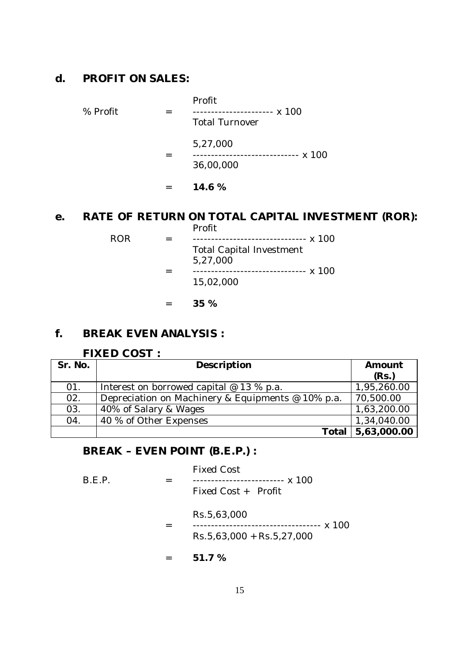### **d. PROFIT ON SALES:**

Profit % Profit = --------------------- x 100 Total Turnover 5,27,000 = ----------------------------- x 100 36,00,000 = **14.6 %**

## **e. RATE OF RETURN ON TOTAL CAPITAL INVESTMENT (ROR):**

Profit ROR = -------------------------------- x 100 Total Capital Investment 5,27,000 = ------------------------------- x 100 15,02,000

= **35 %**

### **f. BREAK EVEN ANALYSIS :**

### **FIXED COST :**

| Sr. No. | Description                                       | Amount<br>(Rs.) |
|---------|---------------------------------------------------|-----------------|
| 01.     | Interest on borrowed capital $@$ 13 % p.a.        | 1,95,260.00     |
| 02.     | Depreciation on Machinery & Equipments @ 10% p.a. | 70,500.00       |
| 03.     | 40% of Salary & Wages                             | 1,63,200.00     |
| 04.     | 40 % of Other Expenses                            | 1,34,040.00     |
|         | Total                                             | 5,63,000.00     |

### **BREAK – EVEN POINT (B.E.P.) :**

| B.E.P. | <b>Fixed Cost</b><br>------------------------- x 100<br>Fixed Cost + Profit |
|--------|-----------------------------------------------------------------------------|
|        | Rs.5,63,000<br>.----------------- x 100<br>$Rs.5,63,000 + Rs.5,27,000$      |
|        | 51.7 %                                                                      |